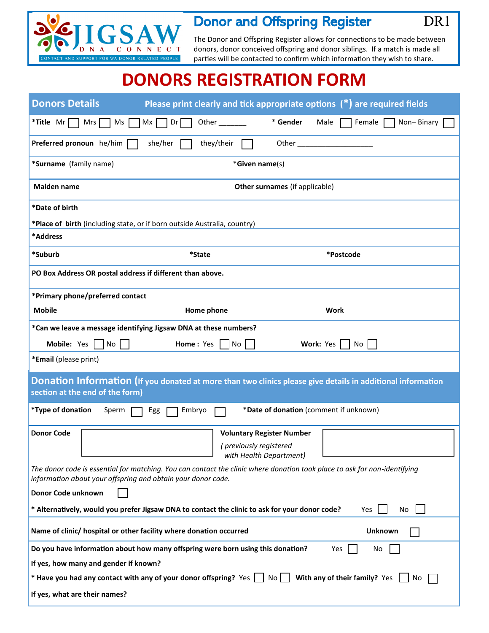

## Donor and Offspring Register DR1

I

The Donor and Offspring Register allows for connections to be made between donors, donor conceived offspring and donor siblings. If a match is made all parties will be contacted to confirm which information they wish to share.

## **DONORS REGISTRATION FORM**

| <b>Donors Details</b>                                                                                                                                                                     | Please print clearly and tick appropriate options $(*)$ are required fields                                 |                                        |                      |  |
|-------------------------------------------------------------------------------------------------------------------------------------------------------------------------------------------|-------------------------------------------------------------------------------------------------------------|----------------------------------------|----------------------|--|
| *Title Mr<br>Mrs<br>Ms                                                                                                                                                                    | Dr<br>Other<br>Mx I                                                                                         | * Gender<br>Male                       | Non-Binary<br>Female |  |
| Preferred pronoun he/him [                                                                                                                                                                | she/her<br>they/their                                                                                       |                                        |                      |  |
| *Surname (family name)                                                                                                                                                                    | *Given name(s)                                                                                              |                                        |                      |  |
| <b>Maiden name</b>                                                                                                                                                                        | Other surnames (if applicable)                                                                              |                                        |                      |  |
| *Date of birth                                                                                                                                                                            |                                                                                                             |                                        |                      |  |
| *Place of birth (including state, or if born outside Australia, country)                                                                                                                  |                                                                                                             |                                        |                      |  |
| *Address                                                                                                                                                                                  |                                                                                                             |                                        |                      |  |
| *Suburb                                                                                                                                                                                   | *State                                                                                                      | *Postcode                              |                      |  |
| PO Box Address OR postal address if different than above.                                                                                                                                 |                                                                                                             |                                        |                      |  |
| *Primary phone/preferred contact                                                                                                                                                          |                                                                                                             |                                        |                      |  |
| <b>Mobile</b>                                                                                                                                                                             | Home phone                                                                                                  | Work                                   |                      |  |
|                                                                                                                                                                                           | *Can we leave a message identifying Jigsaw DNA at these numbers?                                            |                                        |                      |  |
| Mobile: Yes  <br>$No$                                                                                                                                                                     | $\overline{\phantom{a}}$ No<br>Home: Yes                                                                    | Work: Yes                              | No                   |  |
| *Email (please print)                                                                                                                                                                     |                                                                                                             |                                        |                      |  |
| section at the end of the form)                                                                                                                                                           | Donation Information (If you donated at more than two clinics please give details in additional information |                                        |                      |  |
| *Type of donation<br>Sperm                                                                                                                                                                | Embryo<br>Egg                                                                                               | *Date of donation (comment if unknown) |                      |  |
| <b>Donor Code</b>                                                                                                                                                                         | <b>Voluntary Register Number</b>                                                                            |                                        |                      |  |
|                                                                                                                                                                                           | (previously registered<br>with Health Department)                                                           |                                        |                      |  |
| The donor code is essential for matching. You can contact the clinic where donation took place to ask for non-identifying<br>information about your offspring and obtain your donor code. |                                                                                                             |                                        |                      |  |
| Donor Code unknown                                                                                                                                                                        |                                                                                                             |                                        |                      |  |
|                                                                                                                                                                                           | * Alternatively, would you prefer Jigsaw DNA to contact the clinic to ask for your donor code?              |                                        | Yes<br>No            |  |
|                                                                                                                                                                                           | Name of clinic/ hospital or other facility where donation occurred                                          |                                        | Unknown              |  |
| Do you have information about how many offspring were born using this donation?<br>Yes<br>No                                                                                              |                                                                                                             |                                        |                      |  |
| If yes, how many and gender if known?                                                                                                                                                     |                                                                                                             |                                        |                      |  |
| * Have you had any contact with any of your donor offspring? Yes $\vert \ \vert$ No $\vert \ \vert$ With any of their family? Yes<br>No.                                                  |                                                                                                             |                                        |                      |  |
| If yes, what are their names?                                                                                                                                                             |                                                                                                             |                                        |                      |  |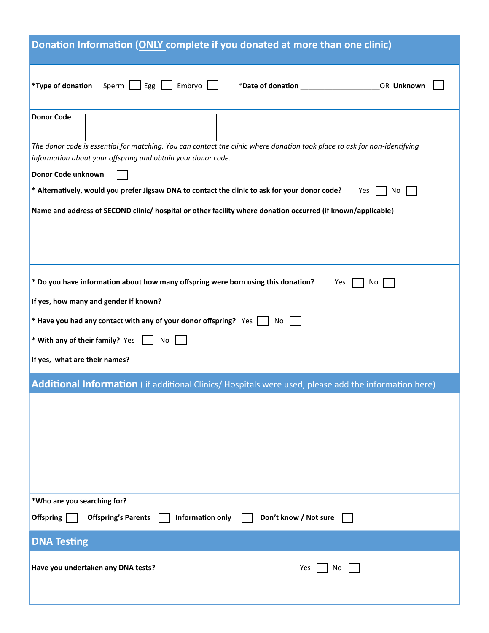| Donation Information (ONLY complete if you donated at more than one clinic)                                                                                                               |  |  |  |  |
|-------------------------------------------------------------------------------------------------------------------------------------------------------------------------------------------|--|--|--|--|
| *Type of donation<br>Sperm $\boxed{\phantom{a}}$ Egg $\boxed{\phantom{a}}$<br>Embryo<br>OR Unknown                                                                                        |  |  |  |  |
| <b>Donor Code</b>                                                                                                                                                                         |  |  |  |  |
| The donor code is essential for matching. You can contact the clinic where donation took place to ask for non-identifying<br>information about your offspring and obtain your donor code. |  |  |  |  |
| Donor Code unknown                                                                                                                                                                        |  |  |  |  |
| * Alternatively, would you prefer Jigsaw DNA to contact the clinic to ask for your donor code?<br>Yes<br>No                                                                               |  |  |  |  |
| Name and address of SECOND clinic/ hospital or other facility where donation occurred (if known/applicable)                                                                               |  |  |  |  |
|                                                                                                                                                                                           |  |  |  |  |
|                                                                                                                                                                                           |  |  |  |  |
| * Do you have information about how many offspring were born using this donation?<br>Yes<br>No                                                                                            |  |  |  |  |
| If yes, how many and gender if known?                                                                                                                                                     |  |  |  |  |
| * Have you had any contact with any of your donor offspring? Yes  <br>No                                                                                                                  |  |  |  |  |
| * With any of their family? Yes<br>No                                                                                                                                                     |  |  |  |  |
| If yes, what are their names?                                                                                                                                                             |  |  |  |  |
| Additional Information (if additional Clinics/ Hospitals were used, please add the information here)                                                                                      |  |  |  |  |
|                                                                                                                                                                                           |  |  |  |  |
|                                                                                                                                                                                           |  |  |  |  |
|                                                                                                                                                                                           |  |  |  |  |
|                                                                                                                                                                                           |  |  |  |  |
|                                                                                                                                                                                           |  |  |  |  |
| *Who are you searching for?                                                                                                                                                               |  |  |  |  |
| Offspring<br><b>Offspring's Parents</b><br>Information only<br>Don't know / Not sure                                                                                                      |  |  |  |  |
| <b>DNA Testing</b>                                                                                                                                                                        |  |  |  |  |
| Have you undertaken any DNA tests?<br>Yes<br>No                                                                                                                                           |  |  |  |  |
|                                                                                                                                                                                           |  |  |  |  |